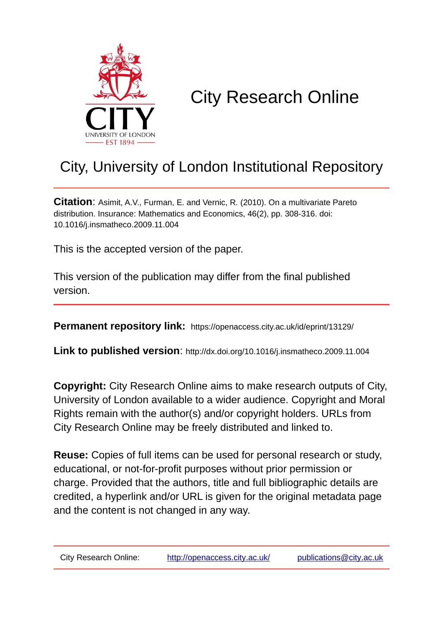

# City Research Online

# City, University of London Institutional Repository

**Citation**: Asimit, A.V., Furman, E. and Vernic, R. (2010). On a multivariate Pareto distribution. Insurance: Mathematics and Economics, 46(2), pp. 308-316. doi: 10.1016/j.insmatheco.2009.11.004

This is the accepted version of the paper.

This version of the publication may differ from the final published version.

**Permanent repository link:** https://openaccess.city.ac.uk/id/eprint/13129/

**Link to published version**: http://dx.doi.org/10.1016/j.insmatheco.2009.11.004

**Copyright:** City Research Online aims to make research outputs of City, University of London available to a wider audience. Copyright and Moral Rights remain with the author(s) and/or copyright holders. URLs from City Research Online may be freely distributed and linked to.

**Reuse:** Copies of full items can be used for personal research or study, educational, or not-for-profit purposes without prior permission or charge. Provided that the authors, title and full bibliographic details are credited, a hyperlink and/or URL is given for the original metadata page and the content is not changed in any way.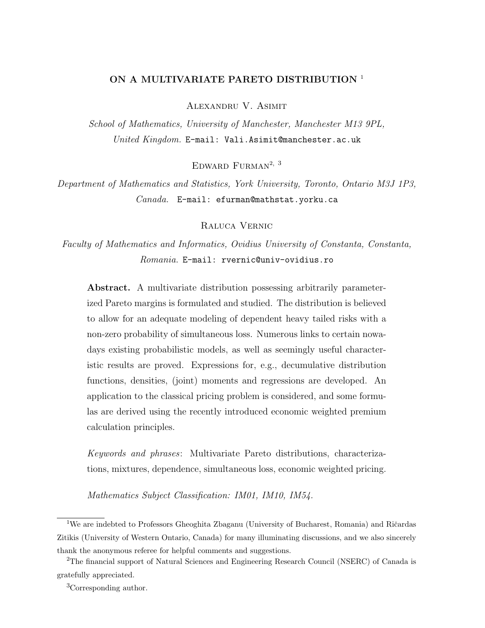# ON A MULTIVARIATE PARETO DISTRIBUTION<sup>1</sup>

Alexandru V. Asimit

School of Mathematics, University of Manchester, Manchester M13 9PL, United Kingdom. E-mail: Vali.Asimit@manchester.ac.uk

EDWARD FURMAN<sup>2, 3</sup>

Department of Mathematics and Statistics, York University, Toronto, Ontario M3J 1P3, Canada. E-mail: efurman@mathstat.yorku.ca

Raluca Vernic

Faculty of Mathematics and Informatics, Ovidius University of Constanta, Constanta, Romania. E-mail: rvernic@univ-ovidius.ro

Abstract. A multivariate distribution possessing arbitrarily parameterized Pareto margins is formulated and studied. The distribution is believed to allow for an adequate modeling of dependent heavy tailed risks with a non-zero probability of simultaneous loss. Numerous links to certain nowadays existing probabilistic models, as well as seemingly useful characteristic results are proved. Expressions for, e.g., decumulative distribution functions, densities, (joint) moments and regressions are developed. An application to the classical pricing problem is considered, and some formulas are derived using the recently introduced economic weighted premium calculation principles.

Keywords and phrases: Multivariate Pareto distributions, characterizations, mixtures, dependence, simultaneous loss, economic weighted pricing.

Mathematics Subject Classification: IM01, IM10, IM54.

<sup>&</sup>lt;sup>1</sup>We are indebted to Professors Gheoghita Zbaganu (University of Bucharest, Romania) and Ričardas Zitikis (University of Western Ontario, Canada) for many illuminating discussions, and we also sincerely thank the anonymous referee for helpful comments and suggestions.

<sup>2</sup>The financial support of Natural Sciences and Engineering Research Council (NSERC) of Canada is gratefully appreciated.

<sup>3</sup>Corresponding author.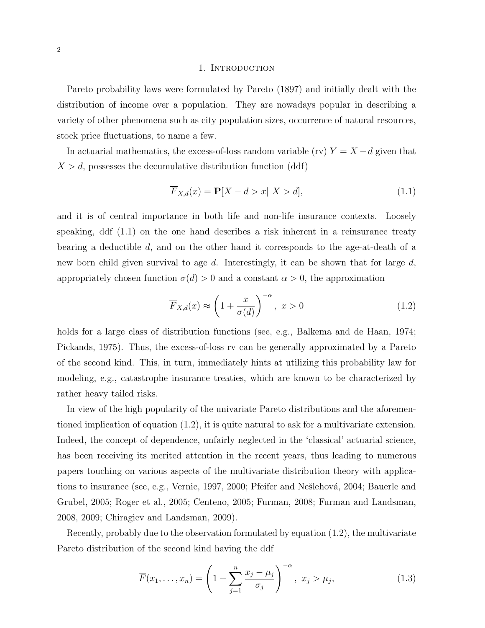#### 1. Introduction

Pareto probability laws were formulated by Pareto (1897) and initially dealt with the distribution of income over a population. They are nowadays popular in describing a variety of other phenomena such as city population sizes, occurrence of natural resources, stock price fluctuations, to name a few.

In actuarial mathematics, the excess-of-loss random variable (rv)  $Y = X - d$  given that  $X > d$ , possesses the decumulative distribution function (ddf)

$$
\overline{F}_{X,d}(x) = \mathbf{P}[X - d > x | X > d],\tag{1.1}
$$

and it is of central importance in both life and non-life insurance contexts. Loosely speaking, ddf (1.1) on the one hand describes a risk inherent in a reinsurance treaty bearing a deductible d, and on the other hand it corresponds to the age-at-death of a new born child given survival to age  $d$ . Interestingly, it can be shown that for large  $d$ , appropriately chosen function  $\sigma(d) > 0$  and a constant  $\alpha > 0$ , the approximation

$$
\overline{F}_{X,d}(x) \approx \left(1 + \frac{x}{\sigma(d)}\right)^{-\alpha}, \ x > 0 \tag{1.2}
$$

holds for a large class of distribution functions (see, e.g., Balkema and de Haan, 1974; Pickands, 1975). Thus, the excess-of-loss rv can be generally approximated by a Pareto of the second kind. This, in turn, immediately hints at utilizing this probability law for modeling, e.g., catastrophe insurance treaties, which are known to be characterized by rather heavy tailed risks.

In view of the high popularity of the univariate Pareto distributions and the aforementioned implication of equation (1.2), it is quite natural to ask for a multivariate extension. Indeed, the concept of dependence, unfairly neglected in the 'classical' actuarial science, has been receiving its merited attention in the recent years, thus leading to numerous papers touching on various aspects of the multivariate distribution theory with applications to insurance (see, e.g., Vernic, 1997, 2000; Pfeifer and Nešlehová, 2004; Bauerle and Grubel, 2005; Roger et al., 2005; Centeno, 2005; Furman, 2008; Furman and Landsman, 2008, 2009; Chiragiev and Landsman, 2009).

Recently, probably due to the observation formulated by equation (1.2), the multivariate Pareto distribution of the second kind having the ddf

$$
\overline{F}(x_1, ..., x_n) = \left(1 + \sum_{j=1}^n \frac{x_j - \mu_j}{\sigma_j}\right)^{-\alpha}, \ x_j > \mu_j,
$$
\n(1.3)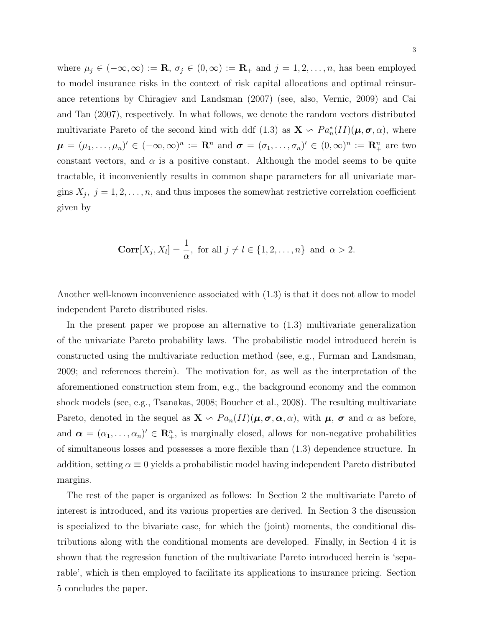where  $\mu_j \in (-\infty, \infty) := \mathbf{R}, \sigma_j \in (0, \infty) := \mathbf{R}_+$  and  $j = 1, 2, \ldots, n$ , has been employed to model insurance risks in the context of risk capital allocations and optimal reinsurance retentions by Chiragiev and Landsman (2007) (see, also, Vernic, 2009) and Cai and Tan (2007), respectively. In what follows, we denote the random vectors distributed multivariate Pareto of the second kind with ddf (1.3) as  $\mathbf{X} \setminus Pa_n^*(II)(\mu, \sigma, \alpha)$ , where  $\boldsymbol{\mu} = (\mu_1, \ldots, \mu_n)' \in (-\infty, \infty)^n := \mathbb{R}^n$  and  $\boldsymbol{\sigma} = (\sigma_1, \ldots, \sigma_n)' \in (0, \infty)^n := \mathbb{R}^n_+$  are two constant vectors, and  $\alpha$  is a positive constant. Although the model seems to be quite tractable, it inconveniently results in common shape parameters for all univariate margins  $X_j$ ,  $j = 1, 2, ..., n$ , and thus imposes the somewhat restrictive correlation coefficient given by

$$
\mathbf{Corr}[X_j, X_l] = \frac{1}{\alpha}, \text{ for all } j \neq l \in \{1, 2, \dots, n\} \text{ and } \alpha > 2.
$$

Another well-known inconvenience associated with (1.3) is that it does not allow to model independent Pareto distributed risks.

In the present paper we propose an alternative to (1.3) multivariate generalization of the univariate Pareto probability laws. The probabilistic model introduced herein is constructed using the multivariate reduction method (see, e.g., Furman and Landsman, 2009; and references therein). The motivation for, as well as the interpretation of the aforementioned construction stem from, e.g., the background economy and the common shock models (see, e.g., Tsanakas, 2008; Boucher et al., 2008). The resulting multivariate Pareto, denoted in the sequel as  $\mathbf{X} \setminus Pa_n(I)$  ( $\mu, \sigma, \alpha, \alpha$ ), with  $\mu, \sigma$  and  $\alpha$  as before, and  $\boldsymbol{\alpha} = (\alpha_1, \dots, \alpha_n)' \in \mathbb{R}^n_+$ , is marginally closed, allows for non-negative probabilities of simultaneous losses and possesses a more flexible than (1.3) dependence structure. In addition, setting  $\alpha \equiv 0$  yields a probabilistic model having independent Pareto distributed margins.

The rest of the paper is organized as follows: In Section 2 the multivariate Pareto of interest is introduced, and its various properties are derived. In Section 3 the discussion is specialized to the bivariate case, for which the (joint) moments, the conditional distributions along with the conditional moments are developed. Finally, in Section 4 it is shown that the regression function of the multivariate Pareto introduced herein is 'separable', which is then employed to facilitate its applications to insurance pricing. Section 5 concludes the paper.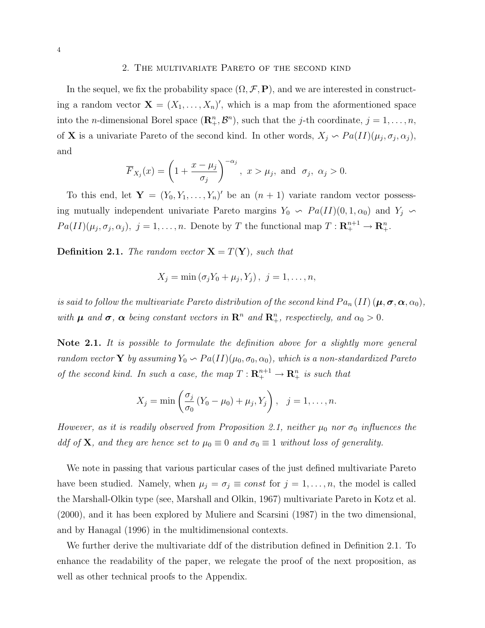#### 2. The multivariate Pareto of the second kind

In the sequel, we fix the probability space  $(\Omega, \mathcal{F}, P)$ , and we are interested in constructing a random vector  $\mathbf{X} = (X_1, \ldots, X_n)'$ , which is a map from the aformentioned space into the *n*-dimensional Borel space  $(\mathbb{R}^n_+, \mathcal{B}^n)$ , such that the *j*-th coordinate,  $j = 1, ..., n$ , of **X** is a univariate Pareto of the second kind. In other words,  $X_j \nightharpoonup Pa(II)(\mu_j, \sigma_j, \alpha_j)$ , and

$$
\overline{F}_{X_j}(x) = \left(1 + \frac{x - \mu_j}{\sigma_j}\right)^{-\alpha_j}, \ x > \mu_j, \text{ and } \sigma_j, \ \alpha_j > 0.
$$

To this end, let  $\mathbf{Y} = (Y_0, Y_1, \ldots, Y_n)'$  be an  $(n + 1)$  variate random vector possessing mutually independent univariate Pareto margins  $Y_0 \sim Pa(II)(0, 1, \alpha_0)$  and  $Y_j \sim$  $Pa(II)(\mu_j, \sigma_j, \alpha_j), j = 1, \ldots, n.$  Denote by T the functional map  $T: \mathbf{R}^{n+1}_+ \to \mathbf{R}^n_+$ .

**Definition 2.1.** The random vector  $X = T(Y)$ , such that

$$
X_j = \min(\sigma_j Y_0 + \mu_j, Y_j), \ j = 1, \dots, n,
$$

is said to follow the multivariate Pareto distribution of the second kind  $Pa_n(II)$  ( $\mu, \sigma, \alpha, \alpha_0$ ), with  $\mu$  and  $\sigma$ ,  $\alpha$  being constant vectors in  $\mathbb{R}^n$  and  $\mathbb{R}^n_+$ , respectively, and  $\alpha_0 > 0$ .

Note 2.1. It is possible to formulate the definition above for a slightly more general random vector **Y** by assuming  $Y_0 \sim Pa(II)(\mu_0, \sigma_0, \alpha_0)$ , which is a non-standardized Pareto of the second kind. In such a case, the map  $T: \mathbf{R}_{+}^{n+1} \to \mathbf{R}_{+}^{n}$  is such that

$$
X_j = \min \left( \frac{\sigma_j}{\sigma_0} (Y_0 - \mu_0) + \mu_j, Y_j \right), \ \ j = 1, ..., n.
$$

However, as it is readily observed from Proposition 2.1, neither  $\mu_0$  nor  $\sigma_0$  influences the ddf of **X**, and they are hence set to  $\mu_0 \equiv 0$  and  $\sigma_0 \equiv 1$  without loss of generality.

We note in passing that various particular cases of the just defined multivariate Pareto have been studied. Namely, when  $\mu_j = \sigma_j \equiv const$  for  $j = 1, \ldots, n$ , the model is called the Marshall-Olkin type (see, Marshall and Olkin, 1967) multivariate Pareto in Kotz et al. (2000), and it has been explored by Muliere and Scarsini (1987) in the two dimensional, and by Hanagal (1996) in the multidimensional contexts.

We further derive the multivariate ddf of the distribution defined in Definition 2.1. To enhance the readability of the paper, we relegate the proof of the next proposition, as well as other technical proofs to the Appendix.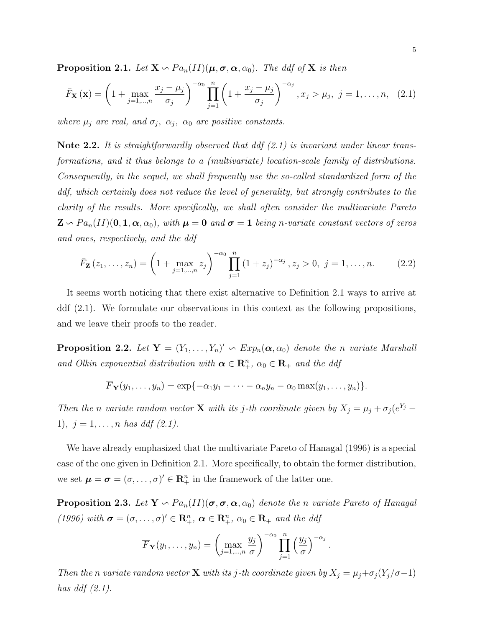**Proposition 2.1.** Let  $X \sim Pa_n(II)(\mu, \sigma, \alpha, \alpha_0)$ . The ddf of X is then

$$
\bar{F}_{\mathbf{X}}\left(\mathbf{x}\right) = \left(1 + \max_{j=1,\dots,n} \frac{x_j - \mu_j}{\sigma_j}\right)^{-\alpha_0} \prod_{j=1}^n \left(1 + \frac{x_j - \mu_j}{\sigma_j}\right)^{-\alpha_j}, x_j > \mu_j, \ j = 1,\dots,n,\ (2.1)
$$

where  $\mu_j$  are real, and  $\sigma_j$ ,  $\alpha_j$ ,  $\alpha_0$  are positive constants.

Note 2.2. It is straightforwardly observed that ddf  $(2.1)$  is invariant under linear transformations, and it thus belongs to a (multivariate) location-scale family of distributions. Consequently, in the sequel, we shall frequently use the so-called standardized form of the ddf, which certainly does not reduce the level of generality, but strongly contributes to the clarity of the results. More specifically, we shall often consider the multivariate Pareto  $\mathbf{Z} \setminus Pa_n(II)(0, 1, \alpha, \alpha_0)$ , with  $\boldsymbol{\mu} = \boldsymbol{0}$  and  $\boldsymbol{\sigma} = \boldsymbol{1}$  being n-variate constant vectors of zeros and ones, respectively, and the ddf

$$
\bar{F}_{\mathbf{Z}}(z_1,\ldots,z_n) = \left(1 + \max_{j=1,\ldots,n} z_j\right)^{-\alpha_0} \prod_{j=1}^n \left(1 + z_j\right)^{-\alpha_j}, z_j > 0, \ j = 1,\ldots,n. \tag{2.2}
$$

It seems worth noticing that there exist alternative to Definition 2.1 ways to arrive at ddf (2.1). We formulate our observations in this context as the following propositions, and we leave their proofs to the reader.

**Proposition 2.2.** Let  $Y = (Y_1, \ldots, Y_n)' \text{ and } Exp_n(\alpha, \alpha_0)$  denote the n variate Marshall and Olkin exponential distribution with  $\alpha \in \mathbb{R}_+^n$ ,  $\alpha_0 \in \mathbb{R}_+$  and the ddf

$$
\overline{F}_{\mathbf{Y}}(y_1,\ldots,y_n)=\exp\{-\alpha_1y_1-\cdots-\alpha_ny_n-\alpha_0\max(y_1,\ldots,y_n)\}.
$$

Then the n variate random vector **X** with its j-th coordinate given by  $X_j = \mu_j + \sigma_j (e^{Y_j} -$ 1),  $j = 1, ..., n$  has ddf (2.1).

We have already emphasized that the multivariate Pareto of Hanagal (1996) is a special case of the one given in Definition 2.1. More specifically, to obtain the former distribution, we set  $\boldsymbol{\mu} = \boldsymbol{\sigma} = (\sigma, \dots, \sigma)' \in \mathbb{R}^n_+$  in the framework of the latter one.

**Proposition 2.3.** Let  $Y \nightharpoonup Pa_n(II)(\sigma, \sigma, \alpha, \alpha_0)$  denote the n variate Pareto of Hanagal (1996) with  $\boldsymbol{\sigma} = (\sigma, \ldots, \sigma)' \in \mathbb{R}^n_+$ ,  $\boldsymbol{\alpha} \in \mathbb{R}^n_+$ ,  $\alpha_0 \in \mathbb{R}_+$  and the ddf

$$
\overline{F}_{\mathbf{Y}}(y_1,\ldots,y_n)=\left(\max_{j=1,\ldots,n}\frac{y_j}{\sigma}\right)^{-\alpha_0}\prod_{j=1}^n\left(\frac{y_j}{\sigma}\right)^{-\alpha_j}.
$$

Then the n variate random vector **X** with its j-th coordinate given by  $X_j = \mu_j + \sigma_j(Y_j/\sigma - 1)$ has ddf  $(2.1)$ .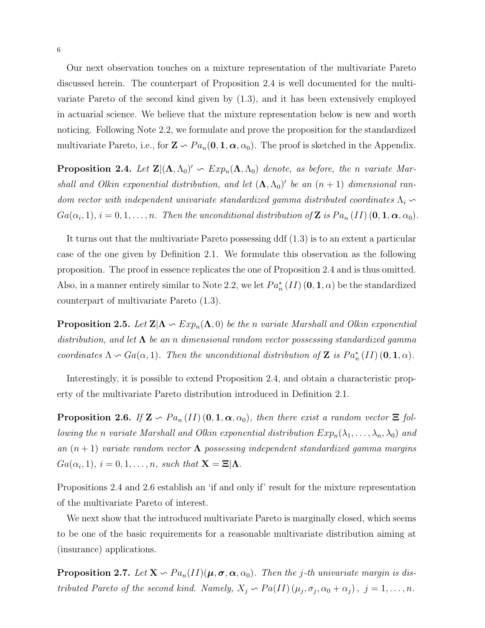Our next observation touches on a mixture representation of the multivariate Pareto discussed herein. The counterpart of Proposition 2.4 is well documented for the multivariate Pareto of the second kind given by (1.3), and it has been extensively employed in actuarial science. We believe that the mixture representation below is new and worth noticing. Following Note 2.2, we formulate and prove the proposition for the standardized multivariate Pareto, i.e., for  $\mathbf{Z} \setminus Pa_n(\mathbf{0}, \mathbf{1}, \boldsymbol{\alpha}, \alpha_0)$ . The proof is sketched in the Appendix.

**Proposition 2.4.** Let  $\mathbf{Z} | (\Lambda, \Lambda_0)' \sim Exp_n(\Lambda, \Lambda_0)$  denote, as before, the n variate Marshall and Olkin exponential distribution, and let  $(\Lambda, \Lambda_0)'$  be an  $(n + 1)$  dimensional random vector with independent univariate standardized gamma distributed coordinates  $\Lambda_i$  $Ga(\alpha_i, 1), i = 0, 1, \ldots, n$ . Then the unconditional distribution of **Z** is  $Pa_n(II)$  (**0**, **1**,  $\alpha$ ,  $\alpha_0$ ).

It turns out that the multivariate Pareto possessing ddf (1.3) is to an extent a particular case of the one given by Definition 2.1. We formulate this observation as the following proposition. The proof in essence replicates the one of Proposition 2.4 and is thus omitted. Also, in a manner entirely similar to Note 2.2, we let  $Pa_n^*(II)$   $(0, 1, \alpha)$  be the standardized counterpart of multivariate Pareto (1.3).

**Proposition 2.5.** Let  $\mathbf{Z}|\Lambda \sim Exp_n(\Lambda, 0)$  be the n variate Marshall and Olkin exponential distribution, and let  $\Lambda$  be an n dimensional random vector possessing standardized gamma coordinates  $\Lambda \backsim Ga(\alpha, 1)$ . Then the unconditional distribution of **Z** is  $Pa_n^*(II)(0, 1, \alpha)$ .

Interestingly, it is possible to extend Proposition 2.4, and obtain a characteristic property of the multivariate Pareto distribution introduced in Definition 2.1.

**Proposition 2.6.** If  $\mathbf{Z} \setminus Pa_n(I)$  (0, 1,  $\alpha$ ,  $\alpha_0$ ), then there exist a random vector  $\Xi$  following the n variate Marshall and Olkin exponential distribution  $Exp_n(\lambda_1, \ldots, \lambda_n, \lambda_0)$  and an  $(n + 1)$  variate random vector  $\Lambda$  possessing independent standardized gamma margins  $Ga(\alpha_i, 1), i = 0, 1, \ldots, n$ , such that  $\mathbf{X} = \Xi | \mathbf{\Lambda}.$ 

Propositions 2.4 and 2.6 establish an 'if and only if' result for the mixture representation of the multivariate Pareto of interest.

We next show that the introduced multivariate Pareto is marginally closed, which seems to be one of the basic requirements for a reasonable multivariate distribution aiming at (insurance) applications.

**Proposition 2.7.** Let  $X \nightharpoonup Pa_n(II)(\mu, \sigma, \alpha, \alpha_0)$ . Then the j-th univariate margin is distributed Pareto of the second kind. Namely,  $X_j \nightharpoonup Pa(II)$   $(\mu_j, \sigma_j, \alpha_0 + \alpha_j)$ ,  $j = 1, ..., n$ .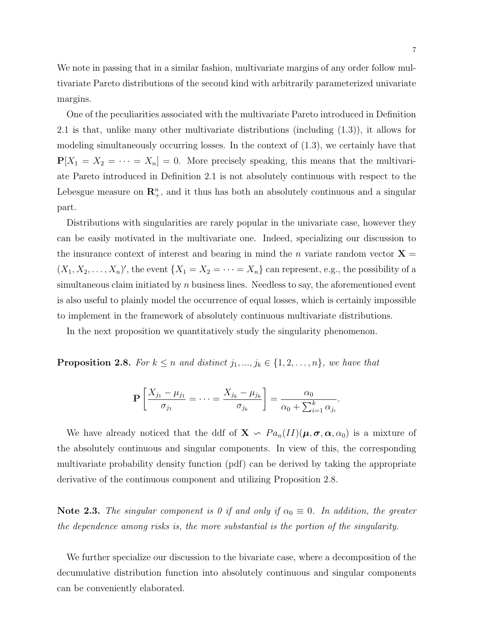We note in passing that in a similar fashion, multivariate margins of any order follow multivariate Pareto distributions of the second kind with arbitrarily parameterized univariate margins.

One of the peculiarities associated with the multivariate Pareto introduced in Definition 2.1 is that, unlike many other multivariate distributions (including (1.3)), it allows for modeling simultaneously occurring losses. In the context of (1.3), we certainly have that  $P[X_1 = X_2 = \cdots = X_n] = 0$ . More precisely speaking, this means that the multivariate Pareto introduced in Definition 2.1 is not absolutely continuous with respect to the Lebesgue measure on  $\mathbb{R}^n_+$ , and it thus has both an absolutely continuous and a singular part.

Distributions with singularities are rarely popular in the univariate case, however they can be easily motivated in the multivariate one. Indeed, specializing our discussion to the insurance context of interest and bearing in mind the n variate random vector  $X =$  $(X_1, X_2, \ldots, X_n)'$ , the event  $\{X_1 = X_2 = \cdots = X_n\}$  can represent, e.g., the possibility of a simultaneous claim initiated by  $n$  business lines. Needless to say, the aforementioned event is also useful to plainly model the occurrence of equal losses, which is certainly impossible to implement in the framework of absolutely continuous multivariate distributions.

In the next proposition we quantitatively study the singularity phenomenon.

**Proposition 2.8.** For  $k \leq n$  and distinct  $j_1, ..., j_k \in \{1, 2, ..., n\}$ , we have that

$$
\mathbf{P}\left[\frac{X_{j_1} - \mu_{j_1}}{\sigma_{j_1}} = \cdots = \frac{X_{j_k} - \mu_{j_k}}{\sigma_{j_k}}\right] = \frac{\alpha_0}{\alpha_0 + \sum_{i=1}^k \alpha_{j_i}}.
$$

We have already noticed that the ddf of  $\mathbf{X} \setminus Pa_n(II)(\boldsymbol{\mu}, \boldsymbol{\sigma}, \boldsymbol{\alpha}, \alpha_0)$  is a mixture of the absolutely continuous and singular components. In view of this, the corresponding multivariate probability density function (pdf) can be derived by taking the appropriate derivative of the continuous component and utilizing Proposition 2.8.

**Note 2.3.** The singular component is 0 if and only if  $\alpha_0 \equiv 0$ . In addition, the greater the dependence among risks is, the more substantial is the portion of the singularity.

We further specialize our discussion to the bivariate case, where a decomposition of the decumulative distribution function into absolutely continuous and singular components can be conveniently elaborated.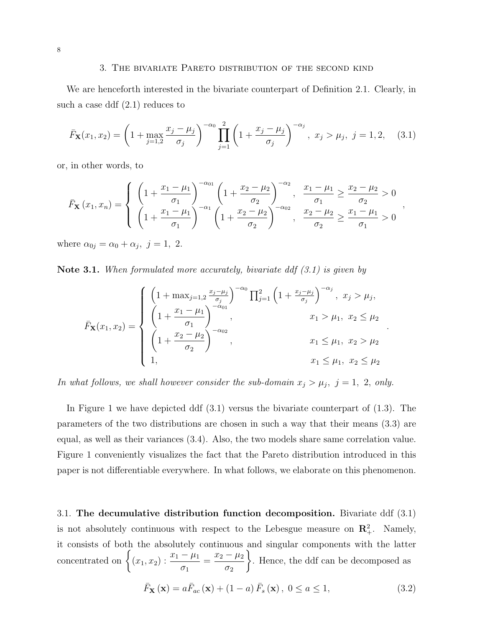#### 3. The bivariate Pareto distribution of the second kind

We are henceforth interested in the bivariate counterpart of Definition 2.1. Clearly, in such a case ddf (2.1) reduces to

$$
\bar{F}_{\mathbf{X}}(x_1, x_2) = \left(1 + \max_{j=1,2} \frac{x_j - \mu_j}{\sigma_j}\right)^{-\alpha_0} \prod_{j=1}^2 \left(1 + \frac{x_j - \mu_j}{\sigma_j}\right)^{-\alpha_j}, \ x_j > \mu_j, \ j = 1, 2, \quad (3.1)
$$

or, in other words, to

$$
\bar{F}_{\mathbf{X}}(x_1, x_n) = \begin{cases} \left(1 + \frac{x_1 - \mu_1}{\sigma_1}\right)^{-\alpha_{01}} \left(1 + \frac{x_2 - \mu_2}{\sigma_2}\right)^{-\alpha_2}, & \frac{x_1 - \mu_1}{\sigma_1} \ge \frac{x_2 - \mu_2}{\sigma_2} > 0\\ \left(1 + \frac{x_1 - \mu_1}{\sigma_1}\right)^{-\alpha_1} \left(1 + \frac{x_2 - \mu_2}{\sigma_2}\right)^{-\alpha_{02}}, & \frac{x_2 - \mu_2}{\sigma_2} \ge \frac{x_1 - \mu_1}{\sigma_1} > 0 \end{cases}
$$

,

.

where  $\alpha_{0j} = \alpha_0 + \alpha_j$ ,  $j = 1, 2$ .

Note 3.1. When formulated more accurately, bivariate ddf  $(3.1)$  is given by

$$
\bar{F}_{\mathbf{X}}(x_1, x_2) = \begin{cases}\n\left(1 + \max_{j=1,2} \frac{x_j - \mu_j}{\sigma_j}\right)^{-\alpha_0} \prod_{j=1}^2 \left(1 + \frac{x_j - \mu_j}{\sigma_j}\right)^{-\alpha_j}, & x_j > \mu_j, \\
\left(1 + \frac{x_1 - \mu_1}{\sigma_1}\right)^{-\alpha_{01}}, & x_1 > \mu_1, & x_2 \le \mu_2 \\
\left(1 + \frac{x_2 - \mu_2}{\sigma_2}\right)^{-\alpha_{02}}, & x_1 \le \mu_1, & x_2 > \mu_2 \\
1, & x_1 \le \mu_1, & x_2 \le \mu_2\n\end{cases}
$$

In what follows, we shall however consider the sub-domain  $x_j > \mu_j$ ,  $j = 1, 2, only$ .

In Figure 1 we have depicted ddf (3.1) versus the bivariate counterpart of (1.3). The parameters of the two distributions are chosen in such a way that their means (3.3) are equal, as well as their variances (3.4). Also, the two models share same correlation value. Figure 1 conveniently visualizes the fact that the Pareto distribution introduced in this paper is not differentiable everywhere. In what follows, we elaborate on this phenomenon.

3.1. The decumulative distribution function decomposition. Bivariate ddf (3.1) is not absolutely continuous with respect to the Lebesgue measure on  $\mathbb{R}^2_+$ . Namely, it consists of both the absolutely continuous and singular components with the latter concentrated on  $\{(x_1, x_2) : \frac{x_1 - \mu_1}{\sigma_1} = \frac{x_2 - \mu_2}{\sigma_2}\}$ . Hence, the ddf can be decomposed as  $\sigma_1$  $=\frac{x_2 - \mu_2}{\sigma}$  $\sigma_2$ ¾ . Hence, the ddf can be decomposed as

$$
\bar{F}_{\mathbf{X}}\left(\mathbf{x}\right) = a\bar{F}_{ac}\left(\mathbf{x}\right) + \left(1 - a\right)\bar{F}_{s}\left(\mathbf{x}\right), \ 0 \le a \le 1,\tag{3.2}
$$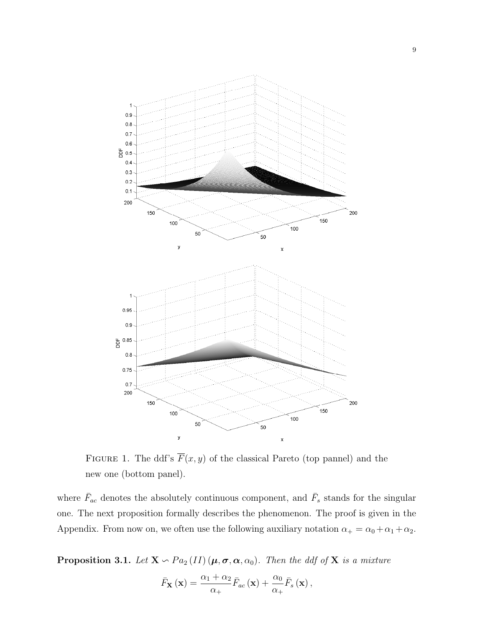

FIGURE 1. The ddf's  $\overline{F}(x, y)$  of the classical Pareto (top pannel) and the new one (bottom panel).

where  $\bar{F}_{ac}$  denotes the absolutely continuous component, and  $\bar{F}_{s}$  stands for the singular one. The next proposition formally describes the phenomenon. The proof is given in the Appendix. From now on, we often use the following auxiliary notation  $\alpha_+ = \alpha_0 + \alpha_1 + \alpha_2$ .

**Proposition 3.1.** Let  $X \nightharpoonup Pa_2 (II) (\mu, \sigma, \alpha, \alpha_0)$ . Then the ddf of  $X$  is a mixture

$$
\bar{F}_{\mathbf{X}}\left(\mathbf{x}\right) = \frac{\alpha_1 + \alpha_2}{\alpha_+} \bar{F}_{ac}\left(\mathbf{x}\right) + \frac{\alpha_0}{\alpha_+} \bar{F}_{s}\left(\mathbf{x}\right),
$$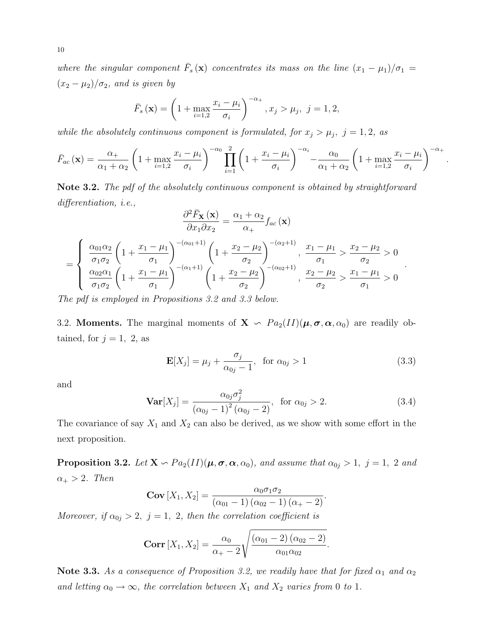where the singular component  $\bar{F}_s(\mathbf{x})$  concentrates its mass on the line  $(x_1 - \mu_1)/\sigma_1 =$  $(x_2 - \mu_2)/\sigma_2$ , and is given by

$$
\bar{F}_s(\mathbf{x}) = \left(1 + \max_{i=1,2} \frac{x_i - \mu_i}{\sigma_i}\right)^{-\alpha_+}, x_j > \mu_j, \ j = 1, 2,
$$

while the absolutely continuous component is formulated, for  $x_j > \mu_j$ ,  $j = 1, 2$ , as

$$
\bar{F}_{ac}(\mathbf{x}) = \frac{\alpha_+}{\alpha_1 + \alpha_2} \left( 1 + \max_{i=1,2} \frac{x_i - \mu_i}{\sigma_i} \right)^{-\alpha_0} \prod_{i=1}^2 \left( 1 + \frac{x_i - \mu_i}{\sigma_i} \right)^{-\alpha_i} - \frac{\alpha_0}{\alpha_1 + \alpha_2} \left( 1 + \max_{i=1,2} \frac{x_i - \mu_i}{\sigma_i} \right)^{-\alpha_+}
$$

.

.

Note 3.2. The pdf of the absolutely continuous component is obtained by straightforward differentiation, i.e.,

$$
\frac{\partial^2 \bar{F}_{\mathbf{X}}(\mathbf{x})}{\partial x_1 \partial x_2} = \frac{\alpha_1 + \alpha_2}{\alpha_+} f_{ac}(\mathbf{x})
$$
\n
$$
= \begin{cases}\n\frac{\alpha_{01} \alpha_2}{\sigma_1 \sigma_2} \left(1 + \frac{x_1 - \mu_1}{\sigma_1}\right)^{-(\alpha_{01}+1)} \left(1 + \frac{x_2 - \mu_2}{\sigma_2}\right)^{-(\alpha_2+1)}, \frac{x_1 - \mu_1}{\sigma_1} > \frac{x_2 - \mu_2}{\sigma_2} > 0 \\
\frac{\alpha_{02} \alpha_1}{\sigma_1 \sigma_2} \left(1 + \frac{x_1 - \mu_1}{\sigma_1}\right)^{-(\alpha_1+1)} \left(1 + \frac{x_2 - \mu_2}{\sigma_2}\right)^{-(\alpha_{02}+1)}, \frac{x_2 - \mu_2}{\sigma_2} > \frac{x_1 - \mu_1}{\sigma_1} > 0\n\end{cases}
$$

The pdf is employed in Propositions 3.2 and 3.3 below.

3.2. Moments. The marginal moments of  $X \text{ }\sim P a_2(II)(\mu, \sigma, \alpha, \alpha_0)$  are readily obtained, for  $j = 1, 2$ , as

$$
\mathbf{E}[X_j] = \mu_j + \frac{\sigma_j}{\alpha_{0j} - 1}, \text{ for } \alpha_{0j} > 1
$$
\n(3.3)

and

$$
\mathbf{Var}[X_j] = \frac{\alpha_{0j}\sigma_j^2}{(\alpha_{0j} - 1)^2 (\alpha_{0j} - 2)}, \text{ for } \alpha_{0j} > 2.
$$
 (3.4)

The covariance of say  $X_1$  and  $X_2$  can also be derived, as we show with some effort in the next proposition.

**Proposition 3.2.** Let  $X \text{ }\sim Pa_2(II)(\mu, \sigma, \alpha, \alpha_0)$ , and assume that  $\alpha_{0j} > 1$ ,  $j = 1, 2$  and  $\alpha_+ > 2$ . Then

$$
Cov [X_1, X_2] = \frac{\alpha_0 \sigma_1 \sigma_2}{(\alpha_{01} - 1) (\alpha_{02} - 1) (\alpha_+ - 2)}.
$$

Moreover, if  $\alpha_{0j} > 2$ ,  $j = 1, 2$ , then the correlation coefficient is

Corr 
$$
[X_1, X_2] = \frac{\alpha_0}{\alpha_+ - 2} \sqrt{\frac{(\alpha_{01} - 2) (\alpha_{02} - 2)}{\alpha_{01} \alpha_{02}}}.
$$

Note 3.3. As a consequence of Proposition 3.2, we readily have that for fixed  $\alpha_1$  and  $\alpha_2$ and letting  $\alpha_0 \to \infty$ , the correlation between  $X_1$  and  $X_2$  varies from 0 to 1.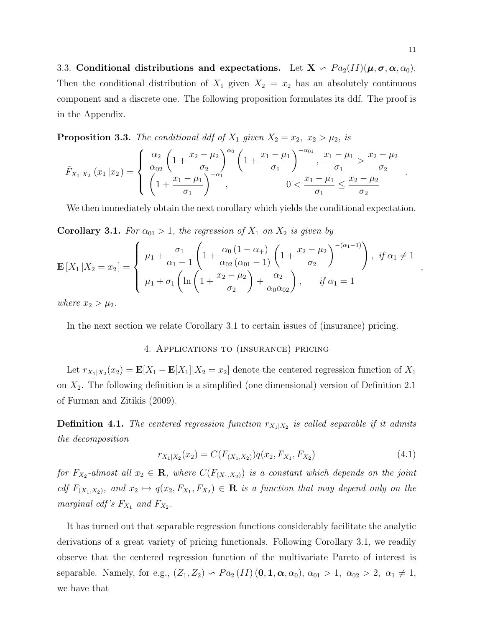3.3. Conditional distributions and expectations. Let  $X \text{ } \sim Pa_2(II)(\mu, \sigma, \alpha, \alpha_0)$ . Then the conditional distribution of  $X_1$  given  $X_2 = x_2$  has an absolutely continuous component and a discrete one. The following proposition formulates its ddf. The proof is in the Appendix.

**Proposition 3.3.** The conditional ddf of  $X_1$  given  $X_2 = x_2$ ,  $x_2 > \mu_2$ , is

$$
\bar{F}_{X_1|X_2}(x_1|x_2) = \begin{cases}\n\frac{\alpha_2}{\alpha_{02}} \left(1 + \frac{x_2 - \mu_2}{\sigma_2}\right)^{\alpha_0} \left(1 + \frac{x_1 - \mu_1}{\sigma_1}\right)^{-\alpha_{01}}, \frac{x_1 - \mu_1}{\sigma_1} > \frac{x_2 - \mu_2}{\sigma_2} \\
\left(1 + \frac{x_1 - \mu_1}{\sigma_1}\right)^{-\alpha_1}, \frac{0 < \frac{x_1 - \mu_1}{\sigma_1} \le \frac{x_2 - \mu_2}{\sigma_2}\n\end{cases}.
$$

We then immediately obtain the next corollary which yields the conditional expectation.

**Corollary 3.1.** For  $\alpha_{01} > 1$ , the regression of  $X_1$  on  $X_2$  is given by

$$
\mathbf{E}\left[X_{1}\left|X_{2}=x_{2}\right.\right] = \begin{cases} \mu_{1} + \frac{\sigma_{1}}{\alpha_{1}-1}\left(1+\frac{\alpha_{0}\left(1-\alpha_{+}\right)}{\alpha_{02}\left(\alpha_{01}-1\right)}\left(1+\frac{x_{2}-\mu_{2}}{\sigma_{2}}\right)^{-(\alpha_{1}-1)}\right), & \text{if } \alpha_{1} \neq 1 \\ \mu_{1} + \sigma_{1}\left(\ln\left(1+\frac{x_{2}-\mu_{2}}{\sigma_{2}}\right)+\frac{\alpha_{2}}{\alpha_{0}\alpha_{02}}\right), & \text{if } \alpha_{1} = 1 \end{cases}
$$

where  $x_2 > \mu_2$ .

In the next section we relate Corollary 3.1 to certain issues of (insurance) pricing.

## 4. Applications to (insurance) pricing

Let  $r_{X_1|X_2}(x_2) = \mathbf{E}[X_1 - \mathbf{E}[X_1]|X_2 = x_2]$  denote the centered regression function of  $X_1$ on  $X_2$ . The following definition is a simplified (one dimensional) version of Definition 2.1 of Furman and Zitikis (2009).

**Definition 4.1.** The centered regression function  $r_{X_1|X_2}$  is called separable if it admits the decomposition

$$
r_{X_1|X_2}(x_2) = C(F_{(X_1,X_2)})q(x_2, F_{X_1}, F_{X_2})
$$
\n(4.1)

for  $F_{X_2}$ -almost all  $x_2 \in \mathbf{R}$ , where  $C(F_{(X_1,X_2)})$  is a constant which depends on the joint cdf  $F_{(X_1,X_2)}$ , and  $x_2 \mapsto q(x_2, F_{X_1}, F_{X_2}) \in \mathbf{R}$  is a function that may depend only on the marginal cdf's  $F_{X_1}$  and  $F_{X_2}$ .

It has turned out that separable regression functions considerably facilitate the analytic derivations of a great variety of pricing functionals. Following Corollary 3.1, we readily observe that the centered regression function of the multivariate Pareto of interest is separable. Namely, for e.g.,  $(Z_1, Z_2) \backsim Pa_2(II)$   $(0, 1, \alpha, \alpha_0), \alpha_{01} > 1, \alpha_{02} > 2, \alpha_1 \neq 1,$ we have that

,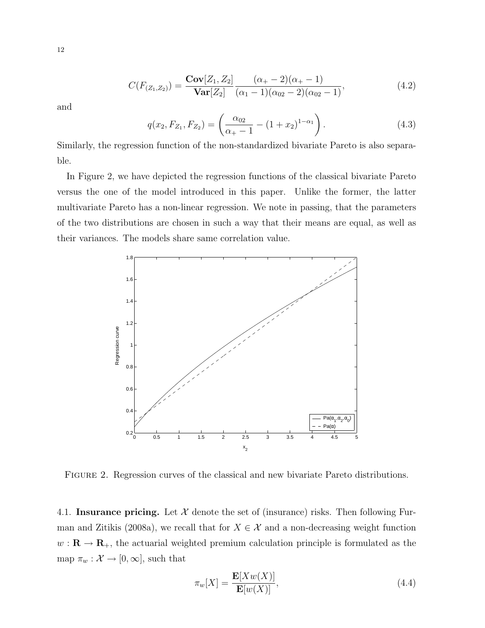$$
C(F_{(Z_1,Z_2)}) = \frac{\text{Cov}[Z_1, Z_2]}{\text{Var}[Z_2]} \frac{(\alpha_+ - 2)(\alpha_+ - 1)}{(\alpha_1 - 1)(\alpha_{02} - 2)(\alpha_{02} - 1)},
$$
(4.2)

and

$$
q(x_2, F_{Z_1}, F_{Z_2}) = \left(\frac{\alpha_{02}}{\alpha_+ - 1} - (1 + x_2)^{1 - \alpha_1}\right). \tag{4.3}
$$

Similarly, the regression function of the non-standardized bivariate Pareto is also separable.

In Figure 2, we have depicted the regression functions of the classical bivariate Pareto versus the one of the model introduced in this paper. Unlike the former, the latter multivariate Pareto has a non-linear regression. We note in passing, that the parameters of the two distributions are chosen in such a way that their means are equal, as well as their variances. The models share same correlation value.



Figure 2. Regression curves of the classical and new bivariate Pareto distributions.

4.1. Insurance pricing. Let  $X$  denote the set of (insurance) risks. Then following Furman and Zitikis (2008a), we recall that for  $X \in \mathcal{X}$  and a non-decreasing weight function  $w: \mathbf{R} \to \mathbf{R}_+$ , the actuarial weighted premium calculation principle is formulated as the map  $\pi_w : \mathcal{X} \to [0, \infty]$ , such that

$$
\pi_w[X] = \frac{\mathbf{E}[Xw(X)]}{\mathbf{E}[w(X)]},\tag{4.4}
$$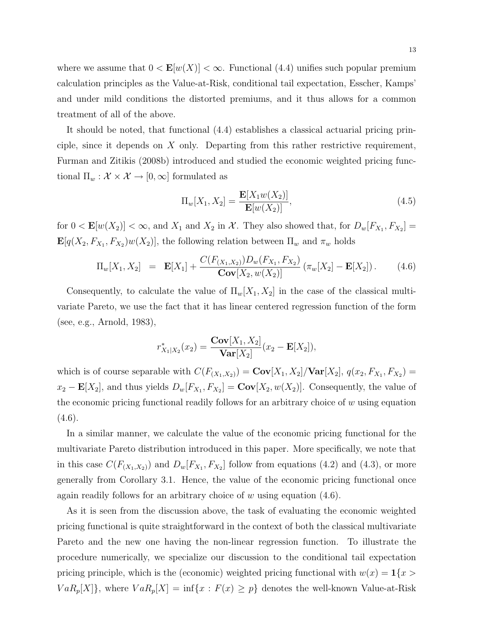where we assume that  $0 < \mathbf{E}[w(X)] < \infty$ . Functional (4.4) unifies such popular premium calculation principles as the Value-at-Risk, conditional tail expectation, Esscher, Kamps' and under mild conditions the distorted premiums, and it thus allows for a common treatment of all of the above.

It should be noted, that functional (4.4) establishes a classical actuarial pricing principle, since it depends on X only. Departing from this rather restrictive requirement, Furman and Zitikis (2008b) introduced and studied the economic weighted pricing functional  $\Pi_w: \mathcal{X} \times \mathcal{X} \rightarrow [0,\infty]$  formulated as

$$
\Pi_w[X_1, X_2] = \frac{\mathbf{E}[X_1 w(X_2)]}{\mathbf{E}[w(X_2)]},
$$
\n(4.5)

for  $0 < \mathbf{E}[w(X_2)] < \infty$ , and  $X_1$  and  $X_2$  in  $\mathcal{X}$ . They also showed that, for  $D_w[F_{X_1}, F_{X_2}] =$  $\mathbf{E}[q(X_2, F_{X_1}, F_{X_2})w(X_2)],$  the following relation between  $\Pi_w$  and  $\pi_w$  holds

$$
\Pi_w[X_1, X_2] = \mathbf{E}[X_1] + \frac{C(F_{(X_1, X_2)})D_w(F_{X_1}, F_{X_2})}{\mathbf{Cov}[X_2, w(X_2)]} (\pi_w[X_2] - \mathbf{E}[X_2]). \quad (4.6)
$$

Consequently, to calculate the value of  $\Pi_w[X_1, X_2]$  in the case of the classical multivariate Pareto, we use the fact that it has linear centered regression function of the form (see, e.g., Arnold, 1983),

$$
r_{X_1|X_2}^*(x_2) = \frac{\mathbf{Cov}[X_1, X_2]}{\mathbf{Var}[X_2]}(x_2 - \mathbf{E}[X_2]),
$$

which is of course separable with  $C(F_{(X_1,X_2)}) = \text{Cov}[X_1,X_2]/\text{Var}[X_2], q(x_2, F_{X_1}, F_{X_2}) =$  $x_2 - \mathbf{E}[X_2]$ , and thus yields  $D_w[F_{X_1}, F_{X_2}] = \mathbf{Cov}[X_2, w(X_2)]$ . Consequently, the value of the economic pricing functional readily follows for an arbitrary choice of  $w$  using equation  $(4.6).$ 

In a similar manner, we calculate the value of the economic pricing functional for the multivariate Pareto distribution introduced in this paper. More specifically, we note that in this case  $C(F_{(X_1,X_2)})$  and  $D_w[F_{X_1}, F_{X_2}]$  follow from equations (4.2) and (4.3), or more generally from Corollary 3.1. Hence, the value of the economic pricing functional once again readily follows for an arbitrary choice of w using equation  $(4.6)$ .

As it is seen from the discussion above, the task of evaluating the economic weighted pricing functional is quite straightforward in the context of both the classical multivariate Pareto and the new one having the non-linear regression function. To illustrate the procedure numerically, we specialize our discussion to the conditional tail expectation pricing principle, which is the (economic) weighted pricing functional with  $w(x) = \mathbf{1}\{x >$  $VaR_p[X]$ , where  $VaR_p[X] = \inf\{x : F(x) \geq p\}$  denotes the well-known Value-at-Risk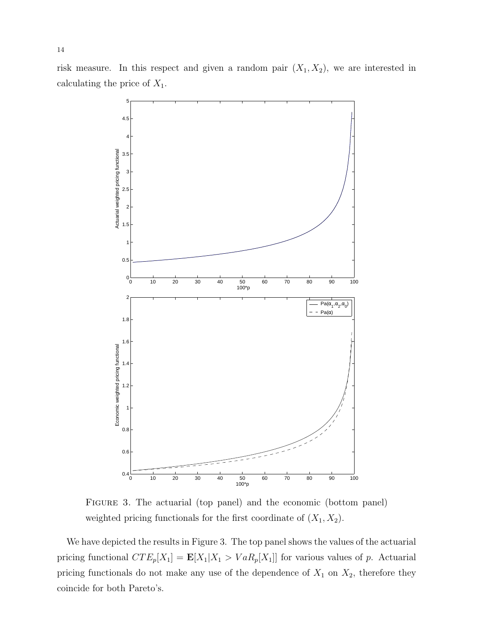14

risk measure. In this respect and given a random pair  $(X_1, X_2)$ , we are interested in calculating the price of  $X_1$ .



Figure 3. The actuarial (top panel) and the economic (bottom panel) weighted pricing functionals for the first coordinate of  $(X_1, X_2)$ .

We have depicted the results in Figure 3. The top panel shows the values of the actuarial pricing functional  $CTE_p[X_1] = \mathbf{E}[X_1|X_1 > VaR_p[X_1]]$  for various values of p. Actuarial pricing functionals do not make any use of the dependence of  $X_1$  on  $X_2$ , therefore they coincide for both Pareto's.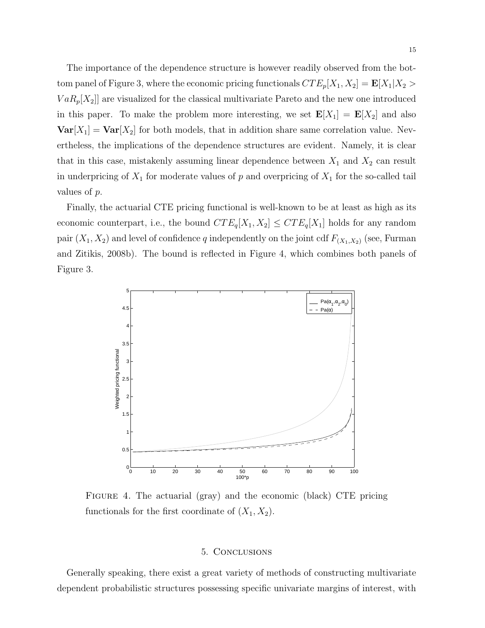The importance of the dependence structure is however readily observed from the bottom panel of Figure 3, where the economic pricing functionals  $CTE_p[X_1, X_2] = \mathbf{E}[X_1 | X_2]$  $VaR_p[X_2]$  are visualized for the classical multivariate Pareto and the new one introduced in this paper. To make the problem more interesting, we set  $\mathbf{E}[X_1] = \mathbf{E}[X_2]$  and also  $\text{Var}[X_1] = \text{Var}[X_2]$  for both models, that in addition share same correlation value. Nevertheless, the implications of the dependence structures are evident. Namely, it is clear that in this case, mistakenly assuming linear dependence between  $X_1$  and  $X_2$  can result in underpricing of  $X_1$  for moderate values of p and overpricing of  $X_1$  for the so-called tail values of p.

Finally, the actuarial CTE pricing functional is well-known to be at least as high as its economic counterpart, i.e., the bound  $CTE_q[X_1, X_2] \leq CTE_q[X_1]$  holds for any random pair  $(X_1, X_2)$  and level of confidence q independently on the joint cdf  $F_{(X_1, X_2)}$  (see, Furman and Zitikis, 2008b). The bound is reflected in Figure 4, which combines both panels of Figure 3.



FIGURE 4. The actuarial (gray) and the economic (black) CTE pricing functionals for the first coordinate of  $(X_1, X_2)$ .

#### 5. Conclusions

Generally speaking, there exist a great variety of methods of constructing multivariate dependent probabilistic structures possessing specific univariate margins of interest, with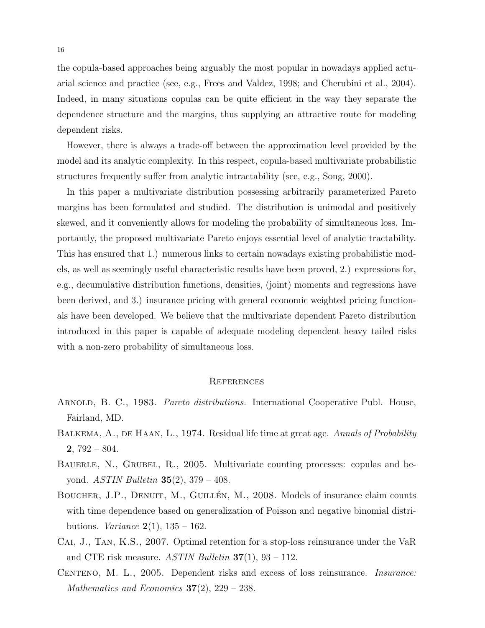the copula-based approaches being arguably the most popular in nowadays applied actuarial science and practice (see, e.g., Frees and Valdez, 1998; and Cherubini et al., 2004). Indeed, in many situations copulas can be quite efficient in the way they separate the dependence structure and the margins, thus supplying an attractive route for modeling dependent risks.

However, there is always a trade-off between the approximation level provided by the model and its analytic complexity. In this respect, copula-based multivariate probabilistic structures frequently suffer from analytic intractability (see, e.g., Song, 2000).

In this paper a multivariate distribution possessing arbitrarily parameterized Pareto margins has been formulated and studied. The distribution is unimodal and positively skewed, and it conveniently allows for modeling the probability of simultaneous loss. Importantly, the proposed multivariate Pareto enjoys essential level of analytic tractability. This has ensured that 1.) numerous links to certain nowadays existing probabilistic models, as well as seemingly useful characteristic results have been proved, 2.) expressions for, e.g., decumulative distribution functions, densities, (joint) moments and regressions have been derived, and 3.) insurance pricing with general economic weighted pricing functionals have been developed. We believe that the multivariate dependent Pareto distribution introduced in this paper is capable of adequate modeling dependent heavy tailed risks with a non-zero probability of simultaneous loss.

#### **REFERENCES**

- ARNOLD, B. C., 1983. *Pareto distributions.* International Cooperative Publ. House, Fairland, MD.
- BALKEMA, A., DE HAAN, L., 1974. Residual life time at great age. Annals of Probability  $2,792 - 804.$
- BAUERLE, N., GRUBEL, R., 2005. Multivariate counting processes: copulas and beyond. ASTIN Bulletin 35(2), 379 – 408.
- BOUCHER, J.P., DENUIT, M., GUILLÉN, M., 2008. Models of insurance claim counts with time dependence based on generalization of Poisson and negative binomial distributions. *Variance*  $2(1)$ ,  $135 - 162$ .
- CAI, J., TAN, K.S., 2007. Optimal retention for a stop-loss reinsurance under the VaR and CTE risk measure. ASTIN Bulletin  $37(1)$ , 93 – 112.
- CENTENO, M. L., 2005. Dependent risks and excess of loss reinsurance. *Insurance*: Mathematics and Economics  $37(2)$ ,  $229 - 238$ .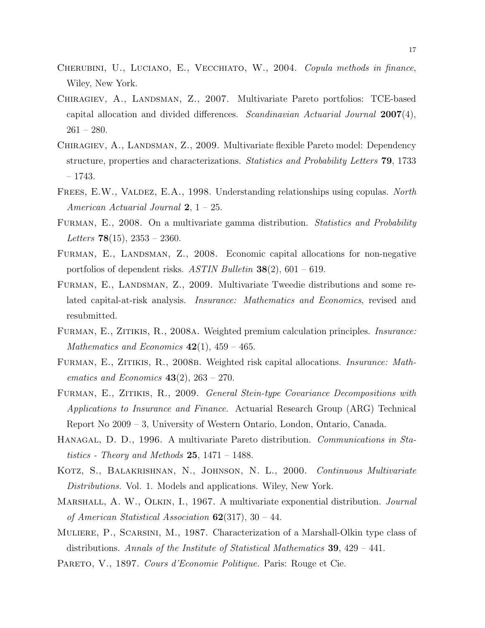- CHERUBINI, U., LUCIANO, E., VECCHIATO, W., 2004. Copula methods in finance, Wiley, New York.
- Chiragiev, A., Landsman, Z., 2007. Multivariate Pareto portfolios: TCE-based capital allocation and divided differences. Scandinavian Actuarial Journal  $2007(4)$ , 261 – 280.
- CHIRAGIEV, A., LANDSMAN, Z., 2009. Multivariate flexible Pareto model: Dependency structure, properties and characterizations. Statistics and Probability Letters 79, 1733 – 1743.
- FREES, E.W., VALDEZ, E.A., 1998. Understanding relationships using copulas. North American Actuarial Journal  $2, 1 - 25$ .
- Furman, E., 2008. On a multivariate gamma distribution. Statistics and Probability Letters  $78(15)$ ,  $2353 - 2360$ .
- FURMAN, E., LANDSMAN, Z., 2008. Economic capital allocations for non-negative portfolios of dependent risks. ASTIN Bulletin  $38(2)$ , 601 – 619.
- Furman, E., Landsman, Z., 2009. Multivariate Tweedie distributions and some related capital-at-risk analysis. Insurance: Mathematics and Economics, revised and resubmitted.
- Furman, E., Zitikis, R., 2008a. Weighted premium calculation principles. Insurance: Mathematics and Economics  $42(1)$ ,  $459 - 465$ .
- Furman, E., Zitikis, R., 2008b. Weighted risk capital allocations. Insurance: Mathematics and Economics  $43(2)$ ,  $263 - 270$ .
- Furman, E., Zitikis, R., 2009. General Stein-type Covariance Decompositions with Applications to Insurance and Finance. Actuarial Research Group (ARG) Technical Report No 2009 – 3, University of Western Ontario, London, Ontario, Canada.
- Hanagal, D. D., 1996. A multivariate Pareto distribution. Communications in Statistics - Theory and Methods  $25$ , 1471 – 1488.
- KOTZ, S., BALAKRISHNAN, N., JOHNSON, N. L., 2000. Continuous Multivariate Distributions. Vol. 1. Models and applications. Wiley, New York.
- MARSHALL, A. W., OLKIN, I., 1967. A multivariate exponential distribution. *Journal* of American Statistical Association  $62(317)$ , 30 – 44.
- Muliere, P., Scarsini, M., 1987. Characterization of a Marshall-Olkin type class of distributions. Annals of the Institute of Statistical Mathematics **39**,  $429 - 441$ .
- PARETO, V., 1897. Cours d'Economie Politique. Paris: Rouge et Cie.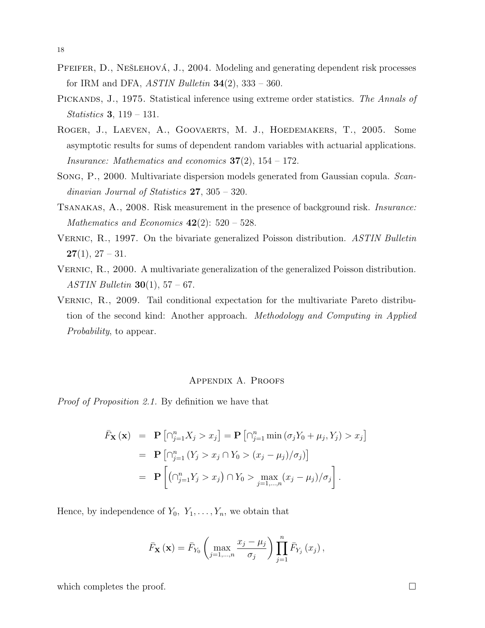- PFEIFER, D., NEŠLEHOVÁ, J., 2004. Modeling and generating dependent risk processes for IRM and DFA,  $ASTIN$  Bulletin  $34(2)$ ,  $333 - 360$ .
- PICKANDS, J., 1975. Statistical inference using extreme order statistics. The Annals of Statistics 3, 119 – 131.
- Roger, J., Laeven, A., Goovaerts, M. J., Hoedemakers, T., 2005. Some asymptotic results for sums of dependent random variables with actuarial applications. Insurance: Mathematics and economics  $37(2)$ ,  $154 - 172$ .
- Song, P., 2000. Multivariate dispersion models generated from Gaussian copula. Scandinavian Journal of Statistics 27, 305 – 320.
- Tsanakas, A., 2008. Risk measurement in the presence of background risk. Insurance: Mathematics and Economics  $42(2)$ : 520 – 528.
- VERNIC, R., 1997. On the bivariate generalized Poisson distribution. ASTIN Bulletin  $27(1), 27-31.$
- Vernic, R., 2000. A multivariate generalization of the generalized Poisson distribution. ASTIN Bulletin **30**(1),  $57 - 67$ .
- Vernic, R., 2009. Tail conditional expectation for the multivariate Pareto distribution of the second kind: Another approach. Methodology and Computing in Applied Probability, to appear.

## Appendix A. Proofs

Proof of Proposition 2.1. By definition we have that

$$
\begin{aligned}\n\bar{F}_{\mathbf{X}}(\mathbf{x}) &= \mathbf{P} \left[ \cap_{j=1}^{n} X_j > x_j \right] = \mathbf{P} \left[ \cap_{j=1}^{n} \min \left( \sigma_j Y_0 + \mu_j, Y_j \right) > x_j \right] \\
&= \mathbf{P} \left[ \cap_{j=1}^{n} \left( Y_j > x_j \cap Y_0 > (x_j - \mu_j) / \sigma_j \right) \right] \\
&= \mathbf{P} \left[ \left( \cap_{j=1}^{n} Y_j > x_j \right) \cap Y_0 > \max_{j=1,\dots,n} \left( x_j - \mu_j \right) / \sigma_j \right].\n\end{aligned}
$$

Hence, by independence of  $Y_0, Y_1, \ldots, Y_n$ , we obtain that

$$
\bar{F}_{\mathbf{X}}\left(\mathbf{x}\right) = \bar{F}_{Y_0}\left(\max_{j=1,\dots,n}\frac{x_j - \mu_j}{\sigma_j}\right)\prod_{j=1}^n \bar{F}_{Y_j}\left(x_j\right),\,
$$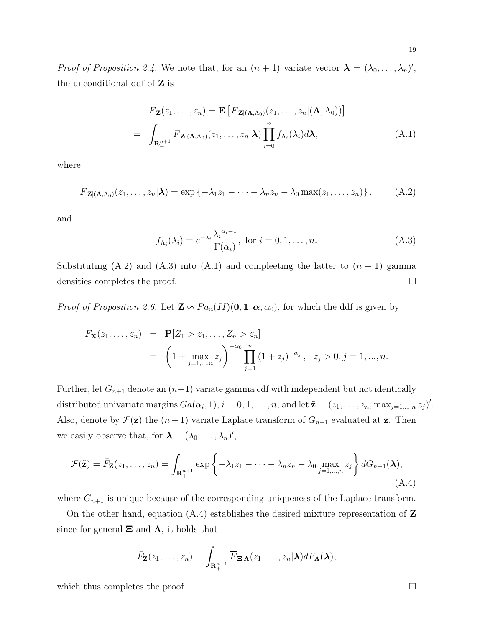*Proof of Proposition 2.4.* We note that, for an  $(n + 1)$  variate vector  $\lambda = (\lambda_0, \dots, \lambda_n)'$ , the unconditional ddf of Z is

$$
\overline{F}_{\mathbf{Z}}(z_1,\ldots,z_n) = \mathbf{E}\left[\overline{F}_{\mathbf{Z}|\left(\mathbf{\Lambda},\Lambda_0\right)}(z_1,\ldots,z_n|(\mathbf{\Lambda},\Lambda_0))\right]
$$
\n
$$
= \int_{\mathbf{R}_{+}^{n+1}} \overline{F}_{\mathbf{Z}|\left(\mathbf{\Lambda},\Lambda_0\right)}(z_1,\ldots,z_n|\mathbf{\lambda}) \prod_{i=0}^{n} f_{\Lambda_i}(\lambda_i) d\mathbf{\lambda}, \tag{A.1}
$$

where

$$
\overline{F}_{\mathbf{Z} | (\mathbf{\Lambda}, \Lambda_0)}(z_1, \ldots, z_n | \mathbf{\lambda}) = \exp \left\{ -\lambda_1 z_1 - \cdots - \lambda_n z_n - \lambda_0 \max(z_1, \ldots, z_n) \right\},\tag{A.2}
$$

and

$$
f_{\Lambda_i}(\lambda_i) = e^{-\lambda_i} \frac{\lambda_i^{\alpha_i - 1}}{\Gamma(\alpha_i)}, \text{ for } i = 0, 1, \dots, n. \tag{A.3}
$$

Substituting (A.2) and (A.3) into (A.1) and compleeting the latter to  $(n + 1)$  gamma densities completes the proof.  $\Box$ 

*Proof of Proposition 2.6.* Let  $\mathbf{Z} \setminus Pa_n(II)(0, 1, \alpha, \alpha_0)$ , for which the ddf is given by

$$
\bar{F}_{\mathbf{X}}(z_1, \dots, z_n) = \mathbf{P}[Z_1 > z_1, \dots, Z_n > z_n]
$$
  
=  $\left(1 + \max_{j=1,\dots,n} z_j\right)^{-\alpha_0} \prod_{j=1}^n (1 + z_j)^{-\alpha_j}, \quad z_j > 0, j = 1, \dots, n.$ 

Further, let  $G_{n+1}$  denote an  $(n+1)$  variate gamma cdf with independent but not identically distributed univariate margins  $Ga(\alpha_i, 1), i = 0, 1, \ldots, n$ , and let  $\tilde{\mathbf{z}} = (z_1, \ldots, z_n, \max_{j=1,\ldots,n} z_j)'$ . Also, denote by  $\mathcal{F}(\tilde{\mathbf{z}})$  the  $(n+1)$  variate Laplace transform of  $G_{n+1}$  evaluated at  $\tilde{\mathbf{z}}$ . Then we easily observe that, for  $\lambda = (\lambda_0, \dots, \lambda_n)'$ ,

$$
\mathcal{F}(\tilde{\mathbf{z}}) = \bar{F}_{\mathbf{Z}}(z_1, \dots, z_n) = \int_{\mathbf{R}_+^{n+1}} \exp\left\{-\lambda_1 z_1 - \dots - \lambda_n z_n - \lambda_0 \max_{j=1,\dots,n} z_j\right\} dG_{n+1}(\boldsymbol{\lambda}),
$$
\n(A.4)

where  $G_{n+1}$  is unique because of the corresponding uniqueness of the Laplace transform.

On the other hand, equation  $(A.4)$  establishes the desired mixture representation of  $\mathbf Z$ since for general  $\Xi$  and  $\Lambda$ , it holds that

$$
\bar{F}_{\mathbf{Z}}(z_1,\ldots,z_n)=\int_{\mathbf{R}^{n+1}_+}\overline{F}_{\mathbf{\Xi}|\mathbf{\Lambda}}(z_1,\ldots,z_n|\boldsymbol{\lambda})dF_{\mathbf{\Lambda}}(\boldsymbol{\lambda}),
$$

which thus completes the proof.  $\Box$ 

19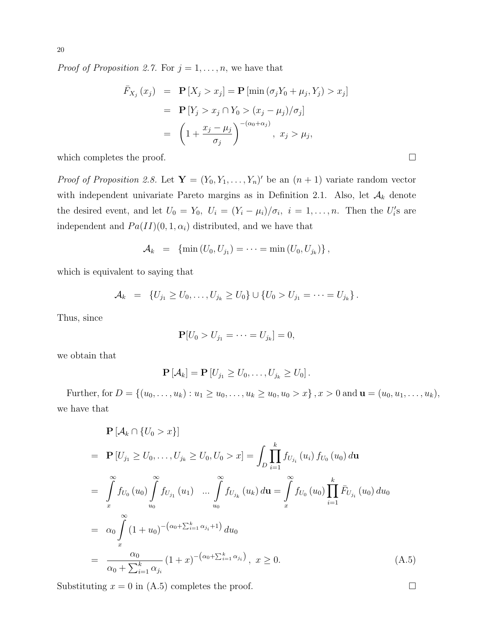*Proof of Proposition 2.7.* For  $j = 1, \ldots, n$ , we have that

$$
\begin{aligned}\n\bar{F}_{X_j}(x_j) &= \mathbf{P}\left[X_j > x_j\right] = \mathbf{P}\left[\min\left(\sigma_j Y_0 + \mu_j, Y_j\right) > x_j\right] \\
&= \mathbf{P}\left[Y_j > x_j \cap Y_0 > (x_j - \mu_j)/\sigma_j\right] \\
&= \left(1 + \frac{x_j - \mu_j}{\sigma_j}\right)^{-(\alpha_0 + \alpha_j)}, \ x_j > \mu_j,\n\end{aligned}
$$

which completes the proof.  $\Box$ 

*Proof of Proposition 2.8.* Let  $\mathbf{Y} = (Y_0, Y_1, \ldots, Y_n)'$  be an  $(n + 1)$  variate random vector with independent univariate Pareto margins as in Definition 2.1. Also, let  $A_k$  denote the desired event, and let  $U_0 = Y_0$ ,  $U_i = (Y_i - \mu_i)/\sigma_i$ ,  $i = 1, ..., n$ . Then the  $U_i$ 's are independent and  $Pa(II)(0, 1, \alpha_i)$  distributed, and we have that

$$
A_k = \{ \min (U_0, U_{j_1}) = \cdots = \min (U_0, U_{j_k}) \},
$$

which is equivalent to saying that

$$
\mathcal{A}_k = \{U_{j_1} \geq U_0, \ldots, U_{j_k} \geq U_0\} \cup \{U_0 > U_{j_1} = \cdots = U_{j_k}\}.
$$

Thus, since

$$
\mathbf{P}[U_0 > U_{j_1} = \cdots = U_{j_k}] = 0,
$$

we obtain that

$$
\mathbf{P}\left[\mathcal{A}_k\right] = \mathbf{P}\left[U_{j_1} \geq U_0, \ldots, U_{j_k} \geq U_0\right].
$$

Further, for  $D = \{(u_0, \ldots, u_k) : u_1 \ge u_0, \ldots, u_k \ge u_0, u_0 > x\}$ ,  $x > 0$  and  $\mathbf{u} = (u_0, u_1, \ldots, u_k)$ , we have that

$$
\mathbf{P}[A_k \cap \{U_0 > x\}]
$$
\n
$$
= \mathbf{P}[U_{j_1} \ge U_0, \dots, U_{j_k} \ge U_0, U_0 > x] = \int_D \prod_{i=1}^k f_{U_{j_i}}(u_i) f_{U_0}(u_0) d\mathbf{u}
$$
\n
$$
= \int_{x}^{\infty} f_{U_0}(u_0) \int_{u_0}^{\infty} f_{U_{j_1}}(u_1) \dots \int_{u_0}^{\infty} f_{U_{j_k}}(u_k) d\mathbf{u} = \int_{x}^{\infty} f_{U_0}(u_0) \prod_{i=1}^k \bar{F}_{U_{j_i}}(u_0) du_0
$$
\n
$$
= \alpha_0 \int_{x}^{\infty} (1 + u_0)^{-(\alpha_0 + \sum_{i=1}^k \alpha_{j_i} + 1)} du_0
$$
\n
$$
= \frac{\alpha_0}{\alpha_0 + \sum_{i=1}^k \alpha_{j_i}} (1 + x)^{-(\alpha_0 + \sum_{i=1}^k \alpha_{j_i})}, \quad x \ge 0.
$$
\n(A.5)

Substituting  $x = 0$  in (A.5) completes the proof.  $\Box$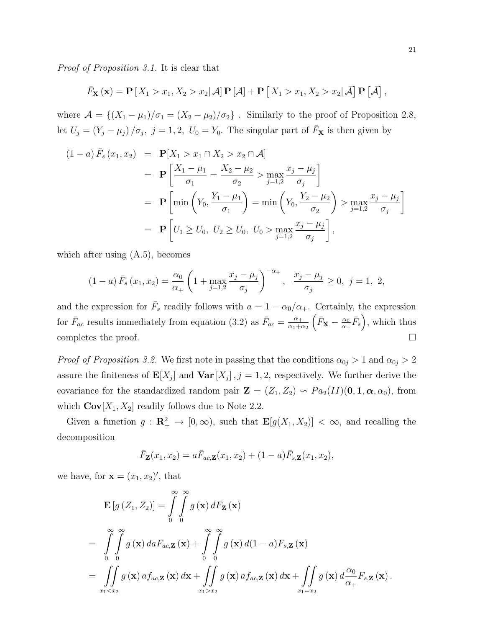Proof of Proposition 3.1. It is clear that

$$
\bar{F}_{\mathbf{X}}(\mathbf{x}) = \mathbf{P}\left[X_1 > x_1, X_2 > x_2 | \mathcal{A}\right] \mathbf{P}\left[\mathcal{A}\right] + \mathbf{P}\left[X_1 > x_1, X_2 > x_2 | \mathcal{\bar{A}}\right] \mathbf{P}\left[\mathcal{\bar{A}}\right],
$$

where  $\mathcal{A} = \{(X_1 - \mu_1)/\sigma_1 = (X_2 - \mu_2)/\sigma_2\}$ . Similarly to the proof of Proposition 2.8, let  $U_j = (Y_j - \mu_j) / \sigma_j$ ,  $j = 1, 2, U_0 = Y_0$ . The singular part of  $\bar{F}_{\mathbf{X}}$  is then given by

$$
(1 - a) \bar{F}_s (x_1, x_2) = \mathbf{P}[X_1 > x_1 \cap X_2 > x_2 \cap \mathcal{A}]
$$
  
\n
$$
= \mathbf{P} \left[ \frac{X_1 - \mu_1}{\sigma_1} = \frac{X_2 - \mu_2}{\sigma_2} > \max_{j=1,2} \frac{x_j - \mu_j}{\sigma_j} \right]
$$
  
\n
$$
= \mathbf{P} \left[ \min \left( Y_0, \frac{Y_1 - \mu_1}{\sigma_1} \right) = \min \left( Y_0, \frac{Y_2 - \mu_2}{\sigma_2} \right) > \max_{j=1,2} \frac{x_j - \mu_j}{\sigma_j} \right]
$$
  
\n
$$
= \mathbf{P} \left[ U_1 \ge U_0, \ U_2 \ge U_0, \ U_0 > \max_{j=1,2} \frac{x_j - \mu_j}{\sigma_j} \right],
$$

which after using (A.5), becomes

$$
(1-a)\,\bar{F}_s(x_1,x_2) = \frac{\alpha_0}{\alpha_+} \left(1 + \max_{j=1,2} \frac{x_j - \mu_j}{\sigma_j}\right)^{-\alpha_+}, \quad \frac{x_j - \mu_j}{\sigma_j} \ge 0, \ j = 1, \ 2,
$$

and the expression for  $\bar{F}_s$  readily follows with  $a = 1 - \alpha_0/\alpha_+$ . Certainly, the expression for  $\bar{F}_{ac}$  results immediately from equation (3.2) as  $\bar{F}_{ac} = \frac{\alpha_{+}}{\alpha_{+} + c}$  $\frac{\alpha_{+}}{\alpha_{1}+\alpha_{2}}\left(\bar{F}_{\mathbf{X}}-\frac{\alpha_{0}}{\alpha_{+}}\right)$  $\frac{\alpha_0}{\alpha_+} \bar{F}_s$  ), which thus completes the proof.  $\Box$ 

*Proof of Proposition 3.2.* We first note in passing that the conditions  $\alpha_{0j} > 1$  and  $\alpha_{0j} > 2$ assure the finiteness of  $\mathbf{E}[X_j]$  and  $\mathbf{Var}[X_j]$ ,  $j = 1, 2$ , respectively. We further derive the covariance for the standardized random pair  $\mathbf{Z} = (Z_1, Z_2) \backsim Pa_2(II)(0, 1, \alpha, \alpha_0)$ , from which  $\text{Cov}[X_1, X_2]$  readily follows due to Note 2.2.

Given a function  $g: \mathbb{R}^2_+ \to [0, \infty)$ , such that  $\mathbb{E}[g(X_1, X_2)] < \infty$ , and recalling the decomposition

$$
\overline{F}_{\mathbf{Z}}(x_1,x_2)=a\overline{F}_{ac,\mathbf{Z}}(x_1,x_2)+(1-a)\overline{F}_{s,\mathbf{Z}}(x_1,x_2),
$$

we have, for  $\mathbf{x} = (x_1, x_2)'$ , that

$$
\mathbf{E}\left[g\left(Z_1, Z_2\right)\right] = \int\limits_{0}^{\infty} \int\limits_{0}^{\infty} g\left(\mathbf{x}\right) dF_{\mathbf{Z}}\left(\mathbf{x}\right)
$$
\n
$$
= \int\limits_{0}^{\infty} \int\limits_{0}^{\infty} g\left(\mathbf{x}\right) da F_{ac,\mathbf{Z}}\left(\mathbf{x}\right) + \int\limits_{0}^{\infty} \int\limits_{0}^{\infty} g\left(\mathbf{x}\right) d(1-a) F_{s,\mathbf{Z}}\left(\mathbf{x}\right)
$$
\n
$$
= \iint\limits_{x_1 < x_2} g\left(\mathbf{x}\right) a f_{ac,\mathbf{Z}}\left(\mathbf{x}\right) d\mathbf{x} + \iint\limits_{x_1 > x_2} g\left(\mathbf{x}\right) a f_{ac,\mathbf{Z}}\left(\mathbf{x}\right) d\mathbf{x} + \iint\limits_{x_1 = x_2} g\left(\mathbf{x}\right) d\frac{\alpha_0}{\alpha_+} F_{s,\mathbf{Z}}\left(\mathbf{x}\right).
$$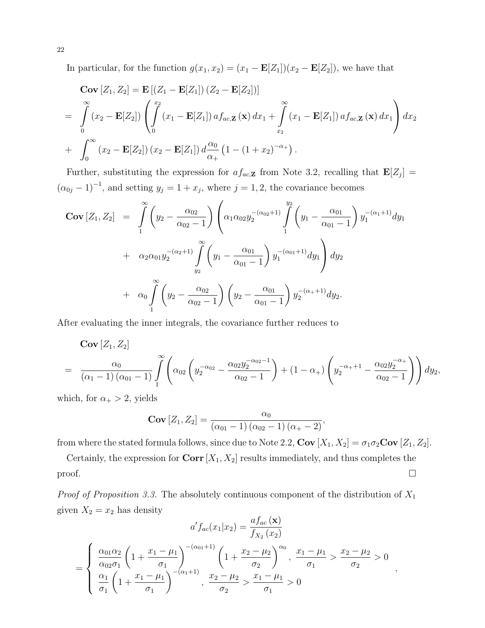In particular, for the function  $g(x_1, x_2) = (x_1 - \mathbf{E}[Z_1])(x_2 - \mathbf{E}[Z_2])$ , we have that

$$
\begin{split}\n\mathbf{Cov}\left[Z_1, Z_2\right] &= \mathbf{E}\left[\left(Z_1 - \mathbf{E}[Z_1]\right)\left(Z_2 - \mathbf{E}[Z_2]\right)\right] \\
&= \int_0^\infty (x_2 - \mathbf{E}[Z_2]) \left( \int_0^{x_2} (x_1 - \mathbf{E}[Z_1]) \, a f_{ac, \mathbf{Z}}\left(\mathbf{x}\right) dx_1 + \int_{x_2}^\infty (x_1 - \mathbf{E}[Z_1]) \, a f_{ac, \mathbf{Z}}\left(\mathbf{x}\right) dx_1 \right) dx_2 \\
&+ \int_0^\infty (x_2 - \mathbf{E}[Z_2]) \left(x_2 - \mathbf{E}[Z_1]\right) d\frac{\alpha_0}{\alpha_+} \left(1 - \left(1 + x_2\right)^{-\alpha_+}\right).\n\end{split}
$$

Further, substituting the expression for  $af_{ac,\mathbf{Z}}$  from Note 3.2, recalling that  $\mathbf{E}[Z_j] =$  $(\alpha_{0j} - 1)^{-1}$ , and setting  $y_j = 1 + x_j$ , where  $j = 1, 2$ , the covariance becomes  $\overline{\phantom{a}}$ 

$$
\begin{split}\n\text{Cov}\left[Z_{1}, Z_{2}\right] &= \int_{1}^{\infty} \left(y_{2} - \frac{\alpha_{02}}{\alpha_{02} - 1}\right) \left(\alpha_{1} \alpha_{02} y_{2}^{-\left(\alpha_{02}+1\right)} \int_{1}^{y_{2}} \left(y_{1} - \frac{\alpha_{01}}{\alpha_{01} - 1}\right) y_{1}^{-\left(\alpha_{1}+1\right)} dy_{1} \right. \\
&\quad \left. + \alpha_{2} \alpha_{01} y_{2}^{-\left(\alpha_{2}+1\right)} \int_{y_{2}}^{\infty} \left(y_{1} - \frac{\alpha_{01}}{\alpha_{01} - 1}\right) y_{1}^{-\left(\alpha_{01}+1\right)} dy_{1} \right) dy_{2} \\
&\quad \left. + \alpha_{0} \int_{1}^{\infty} \left(y_{2} - \frac{\alpha_{02}}{\alpha_{02} - 1}\right) \left(y_{2} - \frac{\alpha_{01}}{\alpha_{01} - 1}\right) y_{2}^{-\left(\alpha_{+}+1\right)} dy_{2}.\n\end{split}
$$

After evaluating the inner integrals, the covariance further reduces to

$$
\mathbf{Cov}\left[Z_1, Z_2\right] = \frac{\alpha_0}{(\alpha_1 - 1) (\alpha_{01} - 1)} \int_{1}^{\infty} \left( \alpha_{02} \left( y_2^{-\alpha_{02}} - \frac{\alpha_{02} y_2^{-\alpha_{02} - 1}}{\alpha_{02} - 1} \right) + (1 - \alpha_+) \left( y_2^{-\alpha_+ + 1} - \frac{\alpha_{02} y_2^{-\alpha_+}}{\alpha_{02} - 1} \right) \right) dy_2,
$$

which, for  $\alpha_+ > 2$ , yields

$$
Cov [Z_1, Z_2] = \frac{\alpha_0}{(\alpha_{01} - 1) (\alpha_{02} - 1) (\alpha_+ - 2)},
$$

from where the stated formula follows, since due to Note 2.2,  $Cov [X_1, X_2] = \sigma_1 \sigma_2 Cov [Z_1, Z_2]$ .

Certainly, the expression for  $Corr[X_1, X_2]$  results immediately, and thus completes the  $\Box$ 

*Proof of Proposition 3.3.* The absolutely continuous component of the distribution of  $X_1$ given  $X_2 = x_2$  has density

$$
a' f_{ac}(x_1|x_2) = \frac{af_{ac}(\mathbf{x})}{f_{X_2}(x_2)}
$$
  
= 
$$
\begin{cases} \frac{\alpha_{01}\alpha_2}{\alpha_{02}\sigma_1} \left(1 + \frac{x_1 - \mu_1}{\sigma_1}\right)^{-(\alpha_{01}+1)} \left(1 + \frac{x_2 - \mu_2}{\sigma_2}\right)^{\alpha_0}, \frac{x_1 - \mu_1}{\sigma_1} > \frac{x_2 - \mu_2}{\sigma_2} > 0 \\ \frac{\alpha_1}{\sigma_1} \left(1 + \frac{x_1 - \mu_1}{\sigma_1}\right)^{-(\alpha_1+1)}, \frac{x_2 - \mu_2}{\sigma_2} > \frac{x_1 - \mu_1}{\sigma_1} > 0 \end{cases}
$$

,